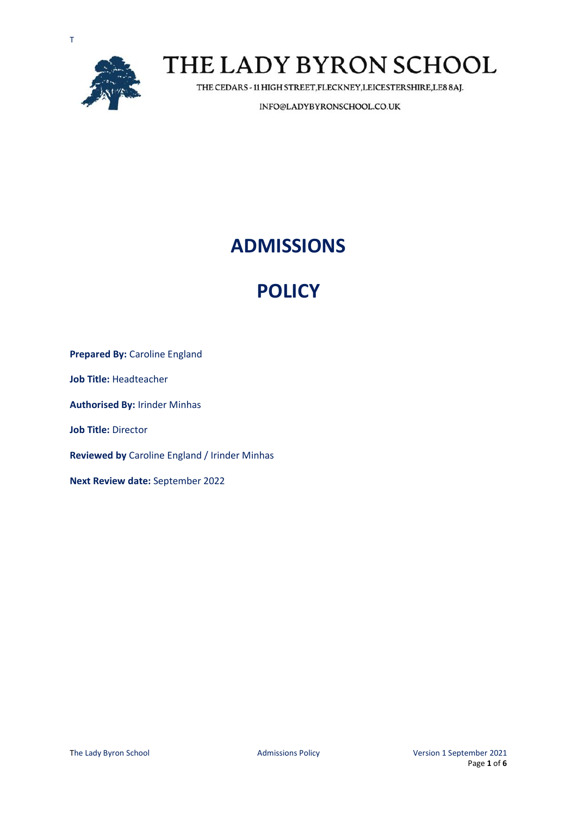



THE CEDARS - 11 HIGH STREET, FLECKNEY, LEICESTERSHIRE, LE8 8AJ.

INFO@LADYBYRONSCHOOL.CO.UK

### **ADMISSIONS**

## **POLICY**

**Prepared By: Caroline England Job Title:** Headteacher **Authorised By:** Irinder Minhas **Job Title:** Director **Reviewed by** Caroline England / Irinder Minhas **Next Review date:** September 2022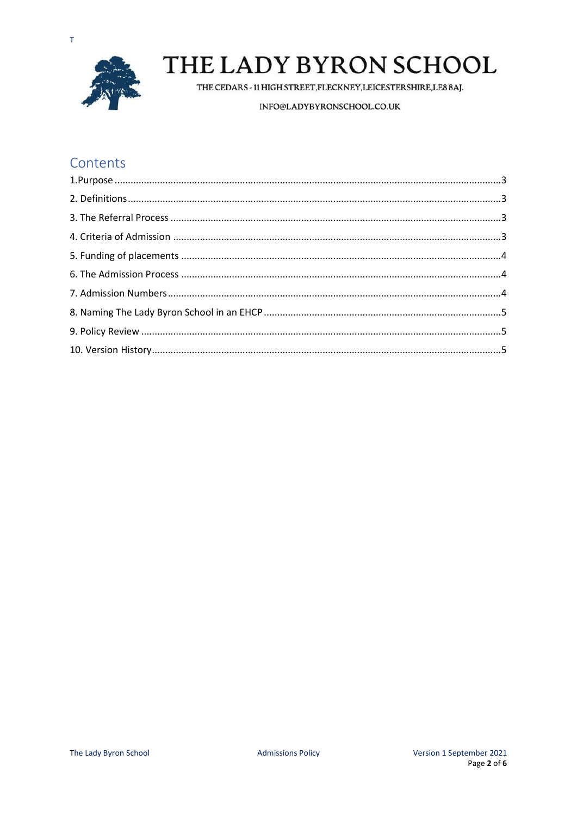

THE CEDARS - 11 HIGH STREET, FLECKNEY, LEICESTERSHIRE, LE8 8AJ.

INFO@LADYBYRONSCHOOL.CO.UK

### Contents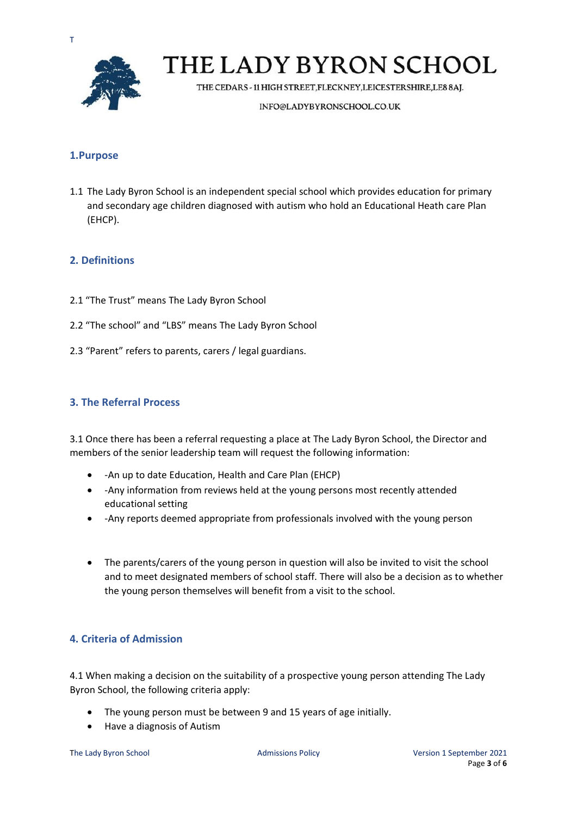

THE CEDARS - 11 HIGH STREET, FLECKNEY, LEICESTERSHIRE, LE8 8AJ.

INFO@LADYBYRONSCHOOL.CO.UK

### <span id="page-2-0"></span>**1.Purpose**

1.1 The Lady Byron School is an independent special school which provides education for primary and secondary age children diagnosed with autism who hold an Educational Heath care Plan (EHCP).

### <span id="page-2-1"></span>**2. Definitions**

- 2.1 "The Trust" means The Lady Byron School
- 2.2 "The school" and "LBS" means The Lady Byron School
- 2.3 "Parent" refers to parents, carers / legal guardians.

#### <span id="page-2-2"></span>**3. The Referral Process**

3.1 Once there has been a referral requesting a place at The Lady Byron School, the Director and members of the senior leadership team will request the following information:

- -An up to date Education, Health and Care Plan (EHCP)
- -Any information from reviews held at the young persons most recently attended educational setting
- -Any reports deemed appropriate from professionals involved with the young person
- The parents/carers of the young person in question will also be invited to visit the school and to meet designated members of school staff. There will also be a decision as to whether the young person themselves will benefit from a visit to the school.

#### <span id="page-2-3"></span>**4. Criteria of Admission**

4.1 When making a decision on the suitability of a prospective young person attending The Lady Byron School, the following criteria apply:

- The young person must be between 9 and 15 years of age initially.
- Have a diagnosis of Autism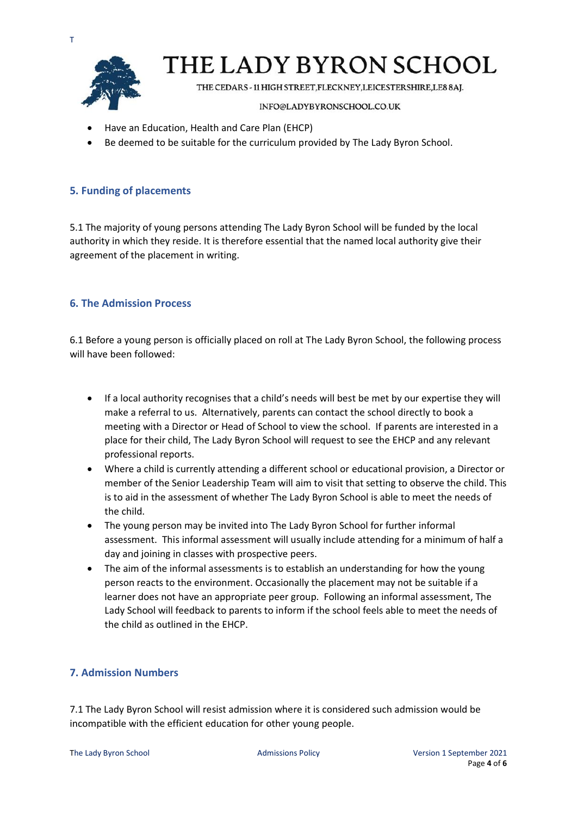

THE CEDARS - 11 HIGH STREET, FLECKNEY, LEICESTERSHIRE, LE8 8AJ.

#### INFO@LADYBYRONSCHOOL.CO.UK

- Have an Education, Health and Care Plan (EHCP)
- Be deemed to be suitable for the curriculum provided by The Lady Byron School.

#### <span id="page-3-0"></span>**5. Funding of placements**

5.1 The majority of young persons attending The Lady Byron School will be funded by the local authority in which they reside. It is therefore essential that the named local authority give their agreement of the placement in writing.

### <span id="page-3-1"></span>**6. The Admission Process**

6.1 Before a young person is officially placed on roll at The Lady Byron School, the following process will have been followed:

- If a local authority recognises that a child's needs will best be met by our expertise they will make a referral to us. Alternatively, parents can contact the school directly to book a meeting with a Director or Head of School to view the school. If parents are interested in a place for their child, The Lady Byron School will request to see the EHCP and any relevant professional reports.
- Where a child is currently attending a different school or educational provision, a Director or member of the Senior Leadership Team will aim to visit that setting to observe the child. This is to aid in the assessment of whether The Lady Byron School is able to meet the needs of the child.
- The young person may be invited into The Lady Byron School for further informal assessment. This informal assessment will usually include attending for a minimum of half a day and joining in classes with prospective peers.
- The aim of the informal assessments is to establish an understanding for how the young person reacts to the environment. Occasionally the placement may not be suitable if a learner does not have an appropriate peer group. Following an informal assessment, The Lady School will feedback to parents to inform if the school feels able to meet the needs of the child as outlined in the EHCP.

### <span id="page-3-2"></span>**7. Admission Numbers**

7.1 The Lady Byron School will resist admission where it is considered such admission would be incompatible with the efficient education for other young people.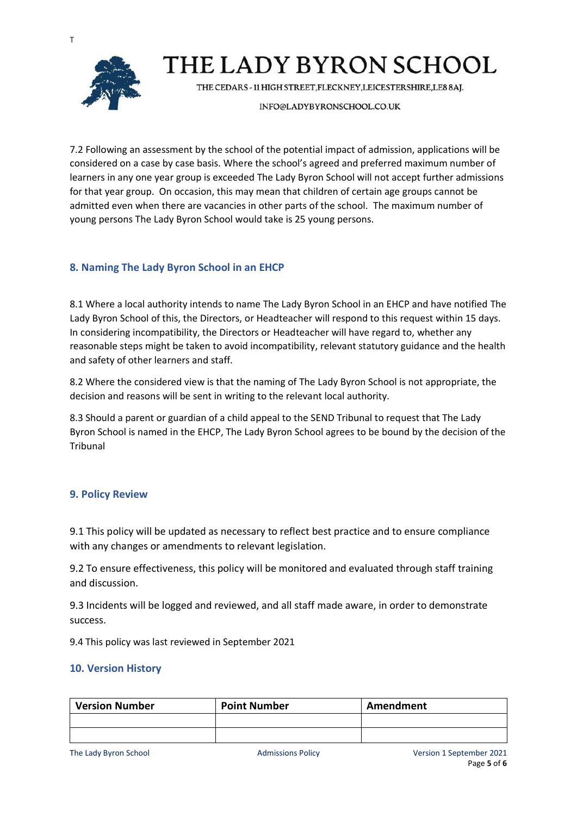



THE CEDARS - 11 HIGH STREET, FLECKNEY, LEICESTERSHIRE, LE8 8AJ.

INFO@LADYBYRONSCHOOL.CO.UK

7.2 Following an assessment by the school of the potential impact of admission, applications will be considered on a case by case basis. Where the school's agreed and preferred maximum number of learners in any one year group is exceeded The Lady Byron School will not accept further admissions for that year group. On occasion, this may mean that children of certain age groups cannot be admitted even when there are vacancies in other parts of the school. The maximum number of young persons The Lady Byron School would take is 25 young persons.

### <span id="page-4-0"></span>**8. Naming The Lady Byron School in an EHCP**

8.1 Where a local authority intends to name The Lady Byron School in an EHCP and have notified The Lady Byron School of this, the Directors, or Headteacher will respond to this request within 15 days. In considering incompatibility, the Directors or Headteacher will have regard to, whether any reasonable steps might be taken to avoid incompatibility, relevant statutory guidance and the health and safety of other learners and staff.

8.2 Where the considered view is that the naming of The Lady Byron School is not appropriate, the decision and reasons will be sent in writing to the relevant local authority.

8.3 Should a parent or guardian of a child appeal to the SEND Tribunal to request that The Lady Byron School is named in the EHCP, The Lady Byron School agrees to be bound by the decision of the Tribunal

### <span id="page-4-1"></span>**9. Policy Review**

9.1 This policy will be updated as necessary to reflect best practice and to ensure compliance with any changes or amendments to relevant legislation.

9.2 To ensure effectiveness, this policy will be monitored and evaluated through staff training and discussion.

9.3 Incidents will be logged and reviewed, and all staff made aware, in order to demonstrate success.

9.4 This policy was last reviewed in September 2021

### <span id="page-4-2"></span>**10. Version History**

| <b>Version Number</b> | <b>Point Number</b> | Amendment |
|-----------------------|---------------------|-----------|
|                       |                     |           |
|                       |                     |           |